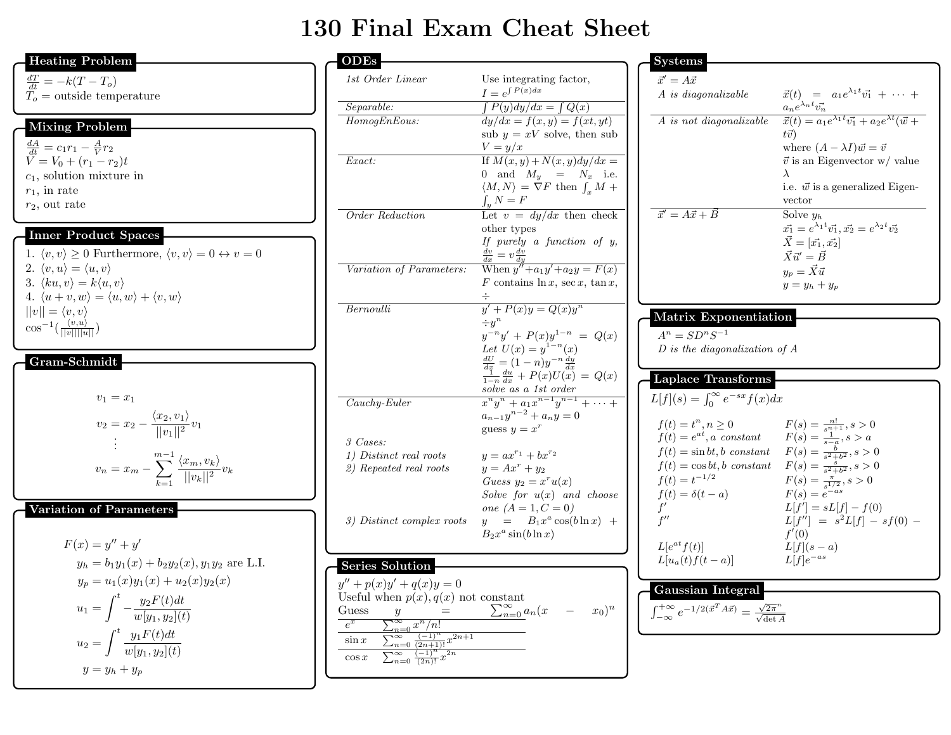## 130 Final Exam Cheat Sheet

| <b>Heating Problem</b>                                                                        | <b>ODEs</b>             |
|-----------------------------------------------------------------------------------------------|-------------------------|
| $\frac{dT}{dt} = -k(T - T_o)$<br>$To$ = outside temperature                                   | 1st Order L             |
|                                                                                               | Separable:              |
| <b>Mixing Problem</b>                                                                         | HomogEnE                |
|                                                                                               |                         |
| $\frac{dA}{dt} = c_1 r_1 - \frac{A}{V} r_2$                                                   |                         |
| $V = V_0 + (r_1 - r_2)t$                                                                      | Exact:                  |
| $c_1$ , solution mixture in<br>$r_1$ , in rate                                                |                         |
| $r_2$ , out rate                                                                              |                         |
|                                                                                               | Order Redu              |
| <b>Inner Product Spaces</b>                                                                   |                         |
| 1. $\langle v, v \rangle \ge 0$ Furthermore, $\langle v, v \rangle = 0 \leftrightarrow v = 0$ |                         |
| 2. $\langle v, u \rangle = \langle u, v \rangle$                                              | Variation of            |
| 3. $\langle ku, v \rangle = k \langle u, v \rangle$                                           |                         |
| 4. $\langle u+v,w\rangle = \langle u,w\rangle + \langle v,w\rangle$                           |                         |
| $  v   = \langle v, v \rangle$                                                                | Bernoulli               |
| $\cos^{-1}(\frac{\langle v, u \rangle}{\ v\  \ u\ })$                                         |                         |
|                                                                                               |                         |
| Gram-Schmidt                                                                                  |                         |
|                                                                                               |                         |
| $v_1 = x_1$                                                                                   | $Cauchy-Eul$            |
| $v_2 = x_2 - \frac{\langle x_2, v_1 \rangle}{\ v_1\ ^2} v_1$                                  |                         |
|                                                                                               |                         |
|                                                                                               | 3 Cases:<br>1) Distinct |
| $v_n = x_m - \sum_{k=1}^{m-1} \frac{\langle x_m, v_k \rangle}{  v_k  ^2} v_k$                 | 2) Repeated             |
|                                                                                               |                         |
|                                                                                               |                         |
| Variation of Parameters                                                                       | 3) Distinct             |
|                                                                                               |                         |
| $F(x) = y'' + y'$                                                                             |                         |
| $y_h = b_1 y_1(x) + b_2 y_2(x), y_1 y_2$ are L.I.                                             | Series Sol              |
| $y_p = u_1(x)y_1(x) + u_2(x)y_2(x)$                                                           | $y'' + p(x)y'$ .        |
| $u_1 = \int_{}^t -\frac{y_2 F(t) dt}{w[y_1, y_2](t)}$                                         | Useful when             |
|                                                                                               | Guess<br>$e^x$          |
| $u_2 = \int^t \frac{y_1 F(t) dt}{w[u_1, u_2](t)}$                                             | $\sin x$                |
|                                                                                               | $\cos x$                |
| $y = y_h + y_p$                                                                               |                         |

| ODEs                                                              |                                                                                                                 | Syster                           |
|-------------------------------------------------------------------|-----------------------------------------------------------------------------------------------------------------|----------------------------------|
| 1st Order Linear                                                  | Use integrating factor,                                                                                         | $\vec{x}' = A$                   |
|                                                                   | $I = e^{\int P(x)dx}$                                                                                           | A is di                          |
| Separable:                                                        | $\int P(y) dy/dx = \int Q(x)$                                                                                   |                                  |
| HomogEnEous:                                                      | $\frac{dy}{dx} = f(x, y) = f(x, y)$                                                                             | $A$ is $n\epsilon$               |
|                                                                   | sub $y = xV$ solve, then sub                                                                                    |                                  |
|                                                                   | $V = y/x$                                                                                                       |                                  |
| Exact:                                                            | If $M(x, y) + N(x, y)dy/dx =$                                                                                   |                                  |
|                                                                   | and $M_y = N_x$ i.e.<br>0                                                                                       |                                  |
|                                                                   | $\langle M, N \rangle = \nabla F$ then $\int_{\tau} M +$                                                        |                                  |
|                                                                   | $\int_u N = F$                                                                                                  |                                  |
| Order Reduction                                                   | Let $v = dy/dx$ then check                                                                                      | $\vec{x}' = A$                   |
|                                                                   | other types                                                                                                     |                                  |
|                                                                   | If purely a function of $y$ ,                                                                                   |                                  |
|                                                                   | $\frac{dv}{dx} = v \frac{dv}{dy}$                                                                               |                                  |
| Variation of Parameters:                                          | When $y'' + a_1y' + a_2y = F(x)$                                                                                |                                  |
|                                                                   | F contains $\ln x$ , sec x, $\tan x$ ,                                                                          |                                  |
|                                                                   |                                                                                                                 |                                  |
| Bernoulli                                                         | $y' + P(x)y = Q(x)y^n$                                                                                          | Matri                            |
|                                                                   | $\div y^n$<br>$y^{-n}y' + P(x)y^{1-n} = Q(x)$                                                                   | $A^n = S$                        |
|                                                                   | Let $U(x) = y^{1-n}(x)$                                                                                         | $D$ is th                        |
|                                                                   |                                                                                                                 |                                  |
|                                                                   | $\frac{\frac{dU}{dx}}{\frac{1}{1-n}} = (1-n)y^{-n}\frac{dy}{dx}$ $\frac{1}{1-n}\frac{du}{dx} + P(x)U(x) = Q(x)$ |                                  |
|                                                                   | solve as a 1st order                                                                                            | Laplac                           |
| $Cauchy-Euler$                                                    | $x^n y^n + a_1 x^{n-1} y^{n-1} + \cdots +$                                                                      | L[f](s)                          |
|                                                                   | $a_{n-1}y^{n-2} + a_ny = 0$                                                                                     |                                  |
|                                                                   | guess $y = x^r$                                                                                                 | $f(t) =$                         |
| 3 Cases:                                                          |                                                                                                                 | $f(t) =$                         |
| 1) Distinct real roots                                            | $y = ax^{r_1} + bx^{r_2}$                                                                                       | $f(t) =$                         |
| 2) Repeated real roots                                            | $y = Ax^r + y_2$                                                                                                | $f(t) =$                         |
|                                                                   | Guess $y_2 = x^r u(x)$                                                                                          | $f(t) =$                         |
|                                                                   | Solve for $u(x)$ and choose                                                                                     | $f(t) =$                         |
|                                                                   | one $(A=1, {\cal C}=0)$                                                                                         | f'<br>f''                        |
| 3) Distinct complex roots                                         | $y = B_1 x^a \cos(b \ln x) +$<br>$B_2x^a\sin(b\ln x)$                                                           |                                  |
|                                                                   |                                                                                                                 | $L[e^{at}f]$                     |
|                                                                   |                                                                                                                 | $L[u_a(t)]$                      |
| <b>Series Solution</b>                                            |                                                                                                                 |                                  |
| $y'' + p(x)y' + q(x)y = 0$                                        |                                                                                                                 | Gauss                            |
| Useful when $p(x), q(x)$ not constant                             |                                                                                                                 | $+\infty$                        |
| Guess<br>$\boldsymbol{y}$                                         | $\sum_{n=0}^{\infty} a_n (x)$<br>$x_0)^n$                                                                       | $\int_{-\infty}^{+\infty} e^{-}$ |
| $e^x$<br>$\sum_{n=0}^{\infty} \overline{x^n/n!}$                  |                                                                                                                 |                                  |
| $\sum_{n=0}^{\infty} \frac{(-1)^n}{(2n+1)!} x^{2n+1}$<br>$\sin x$ |                                                                                                                 |                                  |
| $\sum_{n=0}^{\infty} \frac{(-1)^n}{(2n)!} x^{2n}$<br>$\cos x$     |                                                                                                                 |                                  |
|                                                                   |                                                                                                                 |                                  |

| <b>Systems</b>                            |                                                                                                                |
|-------------------------------------------|----------------------------------------------------------------------------------------------------------------|
|                                           |                                                                                                                |
| $\vec{x}' = A\vec{x}$                     |                                                                                                                |
| A is diagonalizable                       | $\vec{x}(t) = a_1 e^{\lambda_1 t} \vec{v_1} + \cdots$                                                          |
|                                           | $a_n e^{\lambda_n t} \vec{v_n}$<br>$\vec{x}(t) = a_1 e^{\lambda_1 t} \vec{v_1} + a_2 e^{\lambda t} (\vec{w} +$ |
| A is not diagonalizable                   |                                                                                                                |
|                                           | $t\vec{v}$                                                                                                     |
|                                           | where $(A - \lambda I)\vec{w} = \vec{v}$                                                                       |
|                                           | $\vec{v}$ is an Eigenvector w/ value<br>$\lambda$                                                              |
|                                           | i.e. $\vec{w}$ is a generalized Eigen-                                                                         |
|                                           | vector                                                                                                         |
| $\vec{x}' = A\vec{x} + \vec{B}$           | Solve $y_h$                                                                                                    |
|                                           | $\vec{x_1} = e^{\lambda_1 t} \vec{v_1}, \vec{x_2} = e^{\lambda_2 t} \vec{v_2}$                                 |
|                                           | $\vec{X} = [\vec{x_1}, \vec{x_2}]$                                                                             |
|                                           | $\vec{X} \vec{u}' = \vec{B}$                                                                                   |
|                                           | $y_p = \vec{X} \vec{u}$                                                                                        |
|                                           |                                                                                                                |
|                                           | $y = y_h + y_p$                                                                                                |
|                                           |                                                                                                                |
| <b>Matrix Exponentiation</b>              |                                                                                                                |
| $A^n = SD^nS^{-1}$                        |                                                                                                                |
| $D$ is the diagonalization of $A$         |                                                                                                                |
|                                           |                                                                                                                |
| <b>Laplace Transforms</b>                 |                                                                                                                |
| $L[f](s) = \int_0^\infty e^{-sx} f(x) dx$ |                                                                                                                |
|                                           |                                                                                                                |
| $f(t) = t^n, n \geq 0$                    | $F(s) = \frac{n!}{s^{n+1}}, s > 0$<br>$F(s) = \frac{1}{s-a}, s > a$                                            |
| $f(t) = e^{at}, a constant$               |                                                                                                                |
| $f(t) = \sin bt, b \ constant$            | $F(s) = \frac{b}{s^2 + b^2}, s > 0$                                                                            |
| $f(t) = \cos bt, b \ constant$            | $F(s) = \frac{s}{s^2 + b^2}, s > 0$                                                                            |
| $f(t) = t^{-1/2}$                         |                                                                                                                |
| $f(t) = \delta(t-a)$                      | $F(s) = \frac{\pi}{s^{1/2}}$ , $s > 0$<br>$F(s) = e^{-as}$                                                     |
| $f^{\prime}$                              | $L[f'] = sL[f] - f(0)$                                                                                         |
| $f^{\prime\prime}$                        | $L[f''] = s^2L[f] - sf(0) -$                                                                                   |
|                                           | f'(0)                                                                                                          |
| $L[e^{at}f(t)]$                           | $L[f](s-a)$                                                                                                    |
| $L[u_a(t) f(t-a)]$                        |                                                                                                                |
|                                           | $L[f]e^{-as}$                                                                                                  |
| Gaussian Integral                         |                                                                                                                |

 $-1/2(\vec{x}^T A \vec{x}) = \frac{\sqrt{2\pi}^n}{\sqrt{\det A}}$